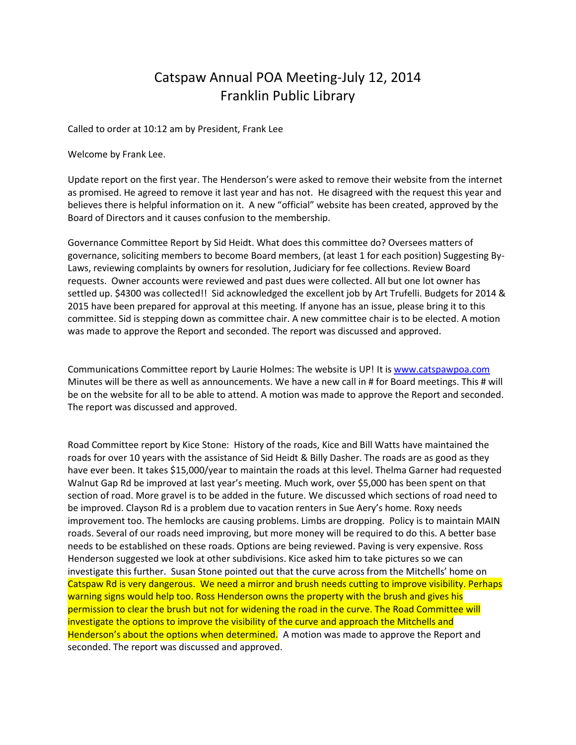## Catspaw Annual POA Meeting-July 12, 2014 Franklin Public Library

Called to order at 10:12 am by President, Frank Lee

Welcome by Frank Lee.

Update report on the first year. The Henderson's were asked to remove their website from the internet as promised. He agreed to remove it last year and has not. He disagreed with the request this year and believes there is helpful information on it. A new "official" website has been created, approved by the Board of Directors and it causes confusion to the membership.

Governance Committee Report by Sid Heidt. What does this committee do? Oversees matters of governance, soliciting members to become Board members, (at least 1 for each position) Suggesting By-Laws, reviewing complaints by owners for resolution, Judiciary for fee collections. Review Board requests. Owner accounts were reviewed and past dues were collected. All but one lot owner has settled up. \$4300 was collected!! Sid acknowledged the excellent job by Art Trufelli. Budgets for 2014 & 2015 have been prepared for approval at this meeting. If anyone has an issue, please bring it to this committee. Sid is stepping down as committee chair. A new committee chair is to be elected. A motion was made to approve the Report and seconded. The report was discussed and approved.

Communications Committee report by Laurie Holmes: The website is UP! It is [www.catspawpoa.com](http://www.catspawpoa.com/) Minutes will be there as well as announcements. We have a new call in # for Board meetings. This # will be on the website for all to be able to attend. A motion was made to approve the Report and seconded. The report was discussed and approved.

Road Committee report by Kice Stone: History of the roads, Kice and Bill Watts have maintained the roads for over 10 years with the assistance of Sid Heidt & Billy Dasher. The roads are as good as they have ever been. It takes \$15,000/year to maintain the roads at this level. Thelma Garner had requested Walnut Gap Rd be improved at last year's meeting. Much work, over \$5,000 has been spent on that section of road. More gravel is to be added in the future. We discussed which sections of road need to be improved. Clayson Rd is a problem due to vacation renters in Sue Aery's home. Roxy needs improvement too. The hemlocks are causing problems. Limbs are dropping. Policy is to maintain MAIN roads. Several of our roads need improving, but more money will be required to do this. A better base needs to be established on these roads. Options are being reviewed. Paving is very expensive. Ross Henderson suggested we look at other subdivisions. Kice asked him to take pictures so we can investigate this further. Susan Stone pointed out that the curve across from the Mitchells' home on Catspaw Rd is very dangerous. We need a mirror and brush needs cutting to improve visibility. Perhaps warning signs would help too. Ross Henderson owns the property with the brush and gives his permission to clear the brush but not for widening the road in the curve. The Road Committee will investigate the options to improve the visibility of the curve and approach the Mitchells and Henderson's about the options when determined. A motion was made to approve the Report and seconded. The report was discussed and approved.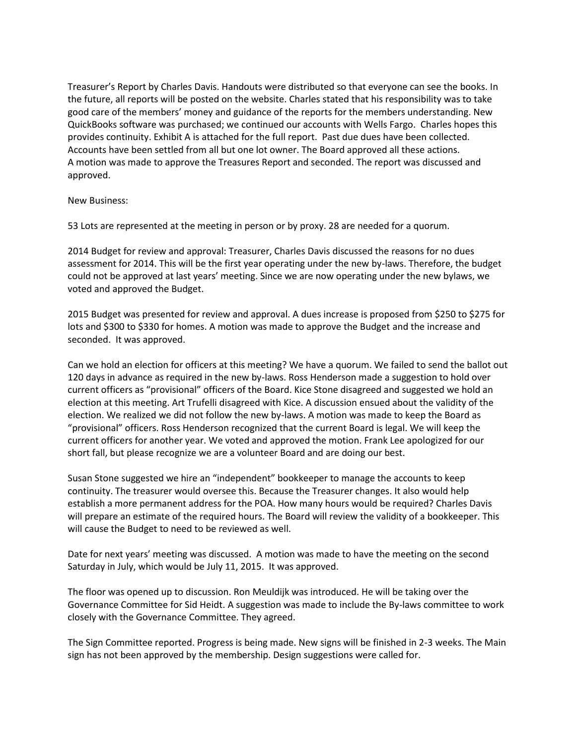Treasurer's Report by Charles Davis. Handouts were distributed so that everyone can see the books. In the future, all reports will be posted on the website. Charles stated that his responsibility was to take good care of the members' money and guidance of the reports for the members understanding. New QuickBooks software was purchased; we continued our accounts with Wells Fargo. Charles hopes this provides continuity. Exhibit A is attached for the full report. Past due dues have been collected. Accounts have been settled from all but one lot owner. The Board approved all these actions. A motion was made to approve the Treasures Report and seconded. The report was discussed and approved.

New Business:

53 Lots are represented at the meeting in person or by proxy. 28 are needed for a quorum.

2014 Budget for review and approval: Treasurer, Charles Davis discussed the reasons for no dues assessment for 2014. This will be the first year operating under the new by-laws. Therefore, the budget could not be approved at last years' meeting. Since we are now operating under the new bylaws, we voted and approved the Budget.

2015 Budget was presented for review and approval. A dues increase is proposed from \$250 to \$275 for lots and \$300 to \$330 for homes. A motion was made to approve the Budget and the increase and seconded. It was approved.

Can we hold an election for officers at this meeting? We have a quorum. We failed to send the ballot out 120 days in advance as required in the new by-laws. Ross Henderson made a suggestion to hold over current officers as "provisional" officers of the Board. Kice Stone disagreed and suggested we hold an election at this meeting. Art Trufelli disagreed with Kice. A discussion ensued about the validity of the election. We realized we did not follow the new by-laws. A motion was made to keep the Board as "provisional" officers. Ross Henderson recognized that the current Board is legal. We will keep the current officers for another year. We voted and approved the motion. Frank Lee apologized for our short fall, but please recognize we are a volunteer Board and are doing our best.

Susan Stone suggested we hire an "independent" bookkeeper to manage the accounts to keep continuity. The treasurer would oversee this. Because the Treasurer changes. It also would help establish a more permanent address for the POA. How many hours would be required? Charles Davis will prepare an estimate of the required hours. The Board will review the validity of a bookkeeper. This will cause the Budget to need to be reviewed as well.

Date for next years' meeting was discussed. A motion was made to have the meeting on the second Saturday in July, which would be July 11, 2015. It was approved.

The floor was opened up to discussion. Ron Meuldijk was introduced. He will be taking over the Governance Committee for Sid Heidt. A suggestion was made to include the By-laws committee to work closely with the Governance Committee. They agreed.

The Sign Committee reported. Progress is being made. New signs will be finished in 2-3 weeks. The Main sign has not been approved by the membership. Design suggestions were called for.